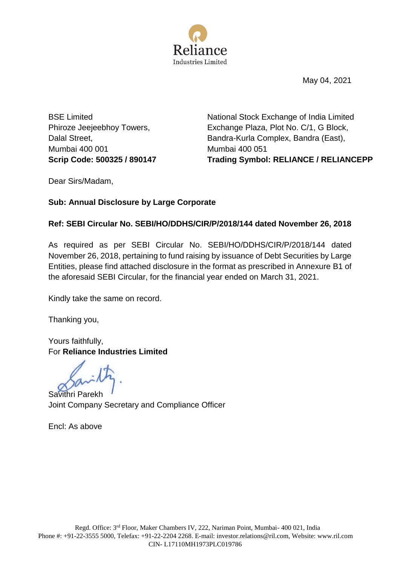

May 04, 2021

BSE Limited Phiroze Jeejeebhoy Towers, Dalal Street, Mumbai 400 001

National Stock Exchange of India Limited Exchange Plaza, Plot No. C/1, G Block, Bandra-Kurla Complex, Bandra (East), Mumbai 400 051 **Scrip Code: 500325 / 890147 Trading Symbol: RELIANCE / RELIANCEPP**

Dear Sirs/Madam,

## **Sub: Annual Disclosure by Large Corporate**

## **Ref: SEBI Circular No. SEBI/HO/DDHS/CIR/P/2018/144 dated November 26, 2018**

As required as per SEBI Circular No. SEBI/HO/DDHS/CIR/P/2018/144 dated November 26, 2018, pertaining to fund raising by issuance of Debt Securities by Large Entities, please find attached disclosure in the format as prescribed in Annexure B1 of the aforesaid SEBI Circular, for the financial year ended on March 31, 2021.

Kindly take the same on record.

Thanking you,

Yours faithfully, For **Reliance Industries Limited**

Savithri Parekh Joint Company Secretary and Compliance Officer

Encl: As above